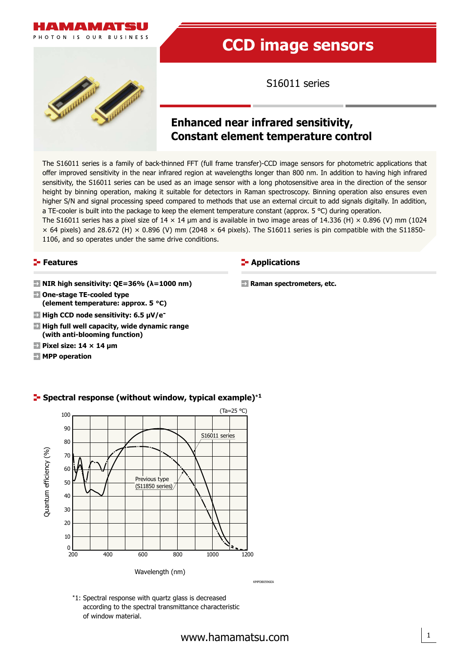



# **CCD image sensors**

S16011 series

# **Enhanced near infrared sensitivity, Constant element temperature control**

**E-** Applications

**Raman spectrometers, etc.**

The S16011 series is a family of back-thinned FFT (full frame transfer)-CCD image sensors for photometric applications that offer improved sensitivity in the near infrared region at wavelengths longer than 800 nm. In addition to having high infrared sensitivity, the S16011 series can be used as an image sensor with a long photosensitive area in the direction of the sensor height by binning operation, making it suitable for detectors in Raman spectroscopy. Binning operation also ensures even higher S/N and signal processing speed compared to methods that use an external circuit to add signals digitally. In addition, a TE-cooler is built into the package to keep the element temperature constant (approx. 5 °C) during operation.

The S16011 series has a pixel size of 14  $\times$  14 µm and is available in two image areas of 14.336 (H)  $\times$  0.896 (V) mm (1024  $\times$  64 pixels) and 28.672 (H)  $\times$  0.896 (V) mm (2048  $\times$  64 pixels). The S16011 series is pin compatible with the S11850-1106, and so operates under the same drive conditions.

#### **Features**

- **NIR high sensitivity: QE=36% (λ=1000 nm)**
- Spectral response **(element temperature: approx. 5 °C) One-stage TE-cooled type** 
	- **High CCD node sensitivity: 6.5 μV/e-**
	- **High full well capacity, wide dynamic range (with anti-blooming function)**
	- **Pixel size: 14 × 14 μm**
	- **MPP operation**



#### **Spectral response (without window, typical example)**\***<sup>1</sup>**

KMPDB0596EA

1

\*1: Spectral response with quartz glass is decreased according to the spectral transmittance characteristic of window material.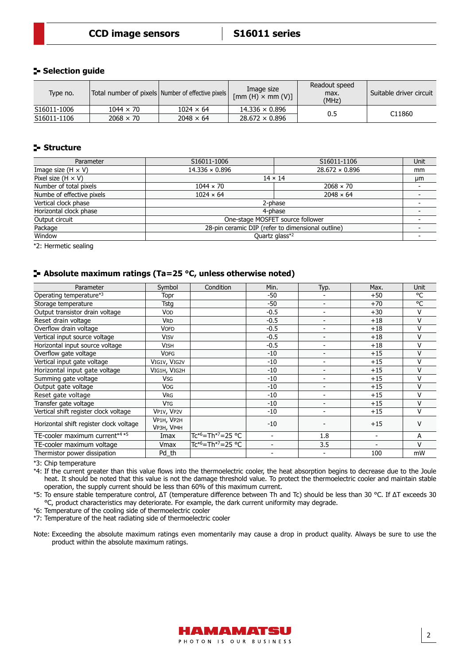#### **Selection guide**

| Type no.    |                  | Total number of pixels Number of effective pixels | Image size<br>$[mm(H) \times mm(V)]$ | Readout speed<br>max.<br>(MHz) | Suitable driver circuit |
|-------------|------------------|---------------------------------------------------|--------------------------------------|--------------------------------|-------------------------|
| S16011-1006 | $1044 \times 70$ | $1024 \times 64$                                  | $14.336 \times 0.896$                |                                | C11860                  |
| S16011-1106 | $2068 \times 70$ | $2048 \times 64$                                  | $28.672 \times 0.896$                | 0.5                            |                         |

#### **Structure**

| Parameter                 | S16011-1006                                       | S16011-1106           | <b>Unit</b> |  |  |  |
|---------------------------|---------------------------------------------------|-----------------------|-------------|--|--|--|
| Image size (H $\times$ V) | $14.336 \times 0.896$                             | $28.672 \times 0.896$ | mm          |  |  |  |
| Pixel size $(H \times V)$ |                                                   | $14 \times 14$        | μm          |  |  |  |
| Number of total pixels    | $1044 \times 70$                                  | $2068 \times 70$      |             |  |  |  |
| Numbe of effective pixels | $1024 \times 64$                                  | $2048 \times 64$      |             |  |  |  |
| Vertical clock phase      | 2-phase                                           |                       |             |  |  |  |
| Horizontal clock phase    | 4-phase                                           |                       |             |  |  |  |
| Output circuit            | One-stage MOSFET source follower                  |                       |             |  |  |  |
| Package                   | 28-pin ceramic DIP (refer to dimensional outline) |                       |             |  |  |  |
| Window                    |                                                   | Quartz glass*2        |             |  |  |  |

\*2: Hermetic sealing

#### **Absolute maximum ratings (Ta=25 °C, unless otherwise noted)**

| Parameter                                              | Symbol                   | Condition                                 | Min.                     | Typ.                     | Max.  | <b>Unit</b> |
|--------------------------------------------------------|--------------------------|-------------------------------------------|--------------------------|--------------------------|-------|-------------|
| Operating temperature*3                                | Topr                     |                                           | -50                      |                          | $+50$ | °C          |
| Storage temperature                                    | <b>Tstg</b>              |                                           | -50                      | -                        | $+70$ | °C          |
| Output transistor drain voltage                        | <b>VOD</b>               |                                           | $-0.5$                   | $\overline{\phantom{0}}$ | $+30$ | v           |
| Reset drain voltage                                    | <b>VRD</b>               |                                           | $-0.5$                   | $\overline{\phantom{a}}$ | $+18$ | $\vee$      |
| Overflow drain voltage                                 | <b>VOFD</b>              |                                           | $-0.5$                   | ٠                        | $+18$ | V           |
| Vertical input source voltage                          | <b>VISV</b>              |                                           | $-0.5$                   | $\overline{\phantom{0}}$ | $+18$ | V           |
| Horizontal input source voltage                        | <b>VISH</b>              |                                           | $-0.5$                   | ۰                        | $+18$ | V           |
| Overflow gate voltage                                  | <b>VOFG</b>              |                                           | $-10$                    | $\overline{\phantom{0}}$ | $+15$ | $\vee$      |
| Vertical input gate voltage                            | VIG1V, VIG2V             |                                           | $-10$                    | ٠                        | $+15$ | V           |
| Horizontal input gate voltage                          | VIG1H, VIG2H             |                                           | $-10$                    | $\overline{\phantom{0}}$ | $+15$ | V           |
| Summing gate voltage                                   | <b>V<sub>SG</sub></b>    |                                           | $-10$                    | $\overline{\phantom{0}}$ | $+15$ | V           |
| Output gate voltage                                    | <b>VOG</b>               |                                           | $-10$                    | -                        | $+15$ | V           |
| Reset gate voltage                                     | <b>VRG</b>               |                                           | $-10$                    | ٠                        | $+15$ | v           |
| Transfer gate voltage                                  | <b>V<sub>TG</sub></b>    |                                           | $-10$                    | -                        | $+15$ | V           |
| Vertical shift register clock voltage                  | VP1V, VP2V               |                                           | $-10$                    | ۰                        | $+15$ | v           |
| Horizontal shift register clock voltage                | VP1H, VP2H<br>VP3H, VP4H |                                           | $-10$                    |                          | $+15$ | v           |
| TE-cooler maximum current* <sup>4</sup> * <sup>5</sup> | Imax                     | Tc* <sup>6</sup> =Th* <sup>7</sup> =25 °C | $\overline{\phantom{a}}$ | 1.8                      |       | A           |
| TE-cooler maximum voltage                              | Vmax                     | Tc* <sup>6</sup> =Th* <sup>7</sup> =25 °C | $\overline{\phantom{a}}$ | 3.5                      |       | $\vee$      |
| Thermistor power dissipation                           | Pd th                    |                                           |                          | ۰                        | 100   | mW          |

\*3: Chip temperature

\*4: If the current greater than this value flows into the thermoelectric cooler, the heat absorption begins to decrease due to the Joule heat. It should be noted that this value is not the damage threshold value. To protect the thermoelectric cooler and maintain stable operation, the supply current should be less than 60% of this maximum current.

\*5: To ensure stable temperature control, ΔT (temperature difference between Th and Tc) should be less than 30 °C. If ΔT exceeds 30 °C, product characteristics may deteriorate. For example, the dark current uniformity may degrade.

\*6: Temperature of the cooling side of thermoelectric cooler

\*7: Temperature of the heat radiating side of thermoelectric cooler

Note: Exceeding the absolute maximum ratings even momentarily may cause a drop in product quality. Always be sure to use the product within the absolute maximum ratings.

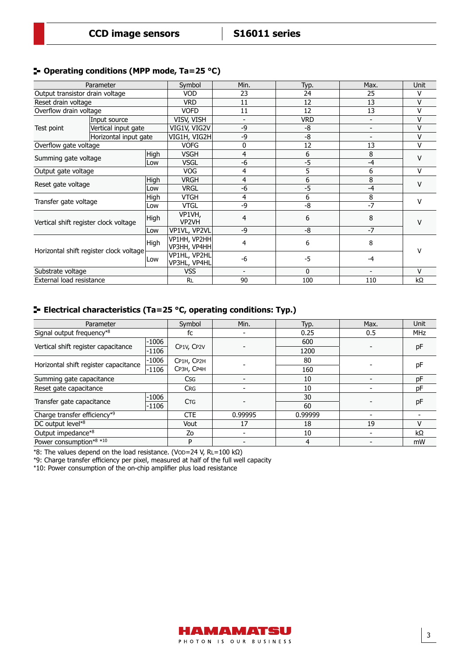#### **Operating conditions (MPP mode, Ta=25 °C)**

|                                         | Parameter             |             | Symbol                        | Min. | Typ.         | Max.                     | Unit      |  |
|-----------------------------------------|-----------------------|-------------|-------------------------------|------|--------------|--------------------------|-----------|--|
| Output transistor drain voltage         |                       |             | <b>VOD</b>                    | 23   | 24           | 25                       | v         |  |
| Reset drain voltage                     |                       |             | <b>VRD</b>                    | 11   | 12           | 13                       | V         |  |
| Overflow drain voltage                  |                       |             | <b>VOFD</b>                   | 11   | 12           | 13                       | V         |  |
|                                         | Input source          |             | VISV, VISH                    | -    | <b>VRD</b>   | -                        | V         |  |
| Test point                              | Vertical input gate   |             | VIG1V, VIG2V                  | -9   | -8           | $\overline{\phantom{a}}$ | v         |  |
|                                         | Horizontal input gate |             | VIG1H, VIG2H                  | -9   | -8           | -                        | v         |  |
| Overflow gate voltage                   |                       |             | <b>VOFG</b>                   | 0    | 12           | 13                       | ٧         |  |
| Summing gate voltage                    |                       | <b>High</b> | <b>VSGH</b>                   | 4    | 6            | 8                        | v         |  |
|                                         |                       | Low         | <b>VSGL</b>                   | -6   | $-5$         | -4                       |           |  |
| Output gate voltage                     |                       |             | <b>VOG</b>                    | 4    | 5            | 6                        | v         |  |
| Reset gate voltage                      |                       | High        | <b>VRGH</b>                   | 4    | 6            | 8                        | v         |  |
|                                         |                       | Low         | <b>VRGL</b>                   | -6   | $-5$         | -4                       |           |  |
|                                         |                       | High        | <b>VTGH</b>                   | 4    | 6            | 8                        | v         |  |
|                                         | Transfer gate voltage |             | <b>VTGL</b>                   | -9   | -8           | $-7$                     |           |  |
| Vertical shift register clock voltage   |                       | High        | VP1VH,<br>VP <sub>2VH</sub>   | 4    | 6            | 8                        | v         |  |
|                                         |                       | Low         | VP1VL, VP2VL                  | -9   | -8           | $-7$                     |           |  |
| Horizontal shift register clock voltage |                       | High        | VP1HH, VP2HH<br> VP3HH, VP4HH | 4    | 6            | 8                        | V         |  |
|                                         |                       | Low         | VP1HL, VP2HL<br>VP3HL, VP4HL  | $-6$ | $-5$         | $-4$                     |           |  |
| Substrate voltage                       |                       |             | <b>VSS</b>                    |      | $\mathbf{0}$ |                          | v         |  |
| External load resistance                |                       |             | <b>RL</b>                     | 90   | 100          | 110                      | $k\Omega$ |  |

## **Electrical characteristics (Ta=25 °C, operating conditions: Typ.)**

| Parameter                             |         | Symbol                | Min.    | Typ.    | Max.                     | <b>Unit</b> |
|---------------------------------------|---------|-----------------------|---------|---------|--------------------------|-------------|
| Signal output frequency*8             |         | fc                    |         | 0.25    | 0.5                      | <b>MHz</b>  |
|                                       | $-1006$ |                       |         | 600     |                          |             |
| Vertical shift register capacitance   | $-1106$ | CP1V, CP2V            |         | 1200    |                          | pF          |
| Horizontal shift register capacitance | $-1006$ | CP1H, CP2H            |         | 80      |                          |             |
|                                       | $-1106$ | СРЗН, СР4Н            |         | 160     |                          | рF          |
| Summing gate capacitance              |         | <b>Csg</b>            |         | 10      |                          | pF          |
| Reset gate capacitance                |         | <b>CRG</b>            |         | 10      |                          | pF          |
| Transfer gate capacitance             | $-1006$ | <b>C<sub>TG</sub></b> |         | 30      |                          |             |
|                                       | $-1106$ |                       |         | 60      |                          | pF          |
| Charge transfer efficiency*9          |         | <b>CTE</b>            | 0.99995 | 0.99999 | $\overline{\phantom{0}}$ |             |
| DC output level*8                     |         | Vout                  | 17      | 18      | 19                       | v           |
| Output impedance*8                    |         | Zo                    |         | 10      |                          | kΩ          |
| Power consumption*8 *10               |         | P                     |         | 4       |                          | mW          |

\*8: The values depend on the load resistance. (VOD=24 V, RL=100 kΩ)

\*9: Charge transfer efficiency per pixel, measured at half of the full well capacity

\*10: Power consumption of the on-chip amplifier plus load resistance

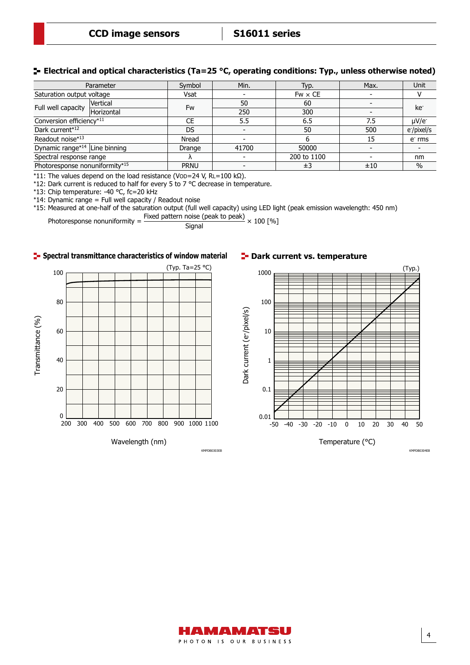#### **Electrical and optical characteristics (Ta=25 °C, operating conditions: Typ., unless otherwise noted)**

|                                           | Parameter                |             | Min.  | Typ.           | Max. | Unit                    |
|-------------------------------------------|--------------------------|-------------|-------|----------------|------|-------------------------|
| Saturation output voltage                 |                          | Vsat        |       | $Fw \times CE$ |      |                         |
| Full well capacity                        | Vertical                 | Fw          | 50    | 60             |      | ke <sup>-</sup>         |
|                                           | Horizontal               |             | 250   | 300            |      |                         |
|                                           | Conversion efficiency*11 |             | 5.5   | 6.5            | 7.5  | $\mu$ V/e               |
| Dark current*12                           |                          |             |       | 50             | 500  | e <sup>-</sup> /pixel/s |
| Readout noise*13                          |                          | Nread       |       |                | 15   | e rms                   |
| Dynamic range* <sup>14</sup> Line binning |                          | Drange      | 41700 | 50000          |      |                         |
|                                           | Spectral response range  |             |       | 200 to 1100    |      | nm                      |
| Photoresponse nonuniformity*15            |                          | <b>PRNU</b> |       | ±3             | ±10  | $\%$                    |

\*11: The values depend on the load resistance (VOD=24 V, RL=100 kΩ).

\*12: Dark current is reduced to half for every 5 to 7 °C decrease in temperature.

\*13: Chip temperature: -40 °C, fc=20 kHz

\*14: Dynamic range = Full well capacity / Readout noise

\*15: Measured at one-half of the saturation output (full well capacity) using LED light (peak emission wavelength: 450 nm)

Photoresponse nonuniformity =  $\frac{\text{Fixed pattern noise (peak to peak)}}{\text{Signal}} \times 100 \text{ [%]}$ 





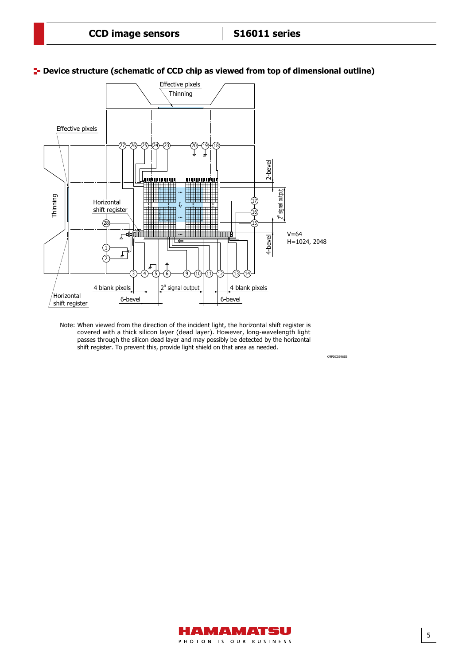KMPDC0596EB



#### **P**- Device structure (schematic of CCD chip as viewed from top of dimensional outline)

Note: When viewed from the direction of the incident light, the horizontal shift register is covered with a thick silicon layer (dead layer). However, long-wavelength light passes through the silicon dead layer and may possibly be detected by the horizontal shift register. To prevent this, provide light shield on that area as needed.

> HAMAMATSU PHOTON IS OUR BUSINESS

5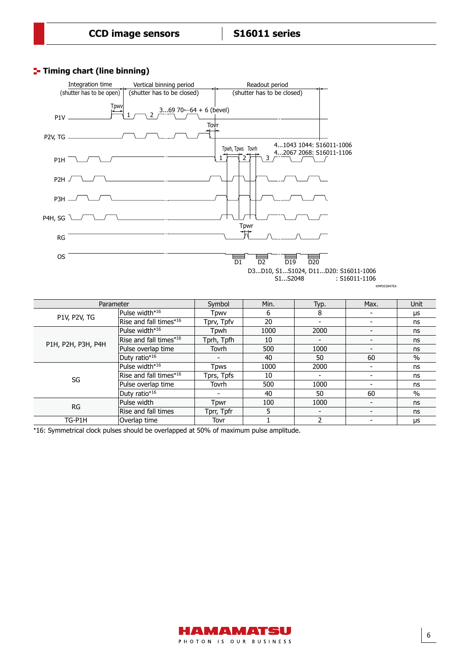#### **Timing chart (line binning)**



KMPDC0847EA

| Parameter           |                            | Symbol                   | Min. | Typ.                     | Max.                     | Unit |
|---------------------|----------------------------|--------------------------|------|--------------------------|--------------------------|------|
|                     | Pulse width* <sup>16</sup> | Tpwv                     | 6    | 8                        |                          | μs   |
| <b>P1V, P2V, TG</b> | Rise and fall times $*16$  | Tprv, Tpfv               | 20   |                          |                          | ns   |
|                     | Pulse width*16             | Tpwh                     | 1000 | 2000                     |                          | ns   |
| P1H, P2H, P3H, P4H  | Rise and fall times*16     | Tprh, Tpfh               | 10   | $\blacksquare$           |                          | ns   |
|                     | Pulse overlap time         | Tovrh                    | 500  | 1000                     | $\blacksquare$           | ns   |
|                     | Duty ratio*16              | -                        | 40   | 50                       | 60                       | $\%$ |
|                     | Pulse width*16             | Tpws                     | 1000 | 2000                     |                          | ns   |
| SG                  | Rise and fall times $*16$  | Tprs, Tpfs               | 10   | $\overline{\phantom{a}}$ |                          | ns   |
|                     | Pulse overlap time         | Tovrh                    | 500  | 1000                     |                          | ns   |
|                     | Duty ratio*16              | $\overline{\phantom{a}}$ | 40   | 50                       | 60                       | $\%$ |
| RG                  | Pulse width                | Tpwr                     | 100  | 1000                     | $\overline{\phantom{a}}$ | ns   |
|                     | Rise and fall times        | Tprr, Tpfr               | 5    |                          |                          | ns   |
| TG-P1H              | Overlap time               | Tovr                     |      | 2                        |                          | μs   |

\*16: Symmetrical clock pulses should be overlapped at 50% of maximum pulse amplitude.

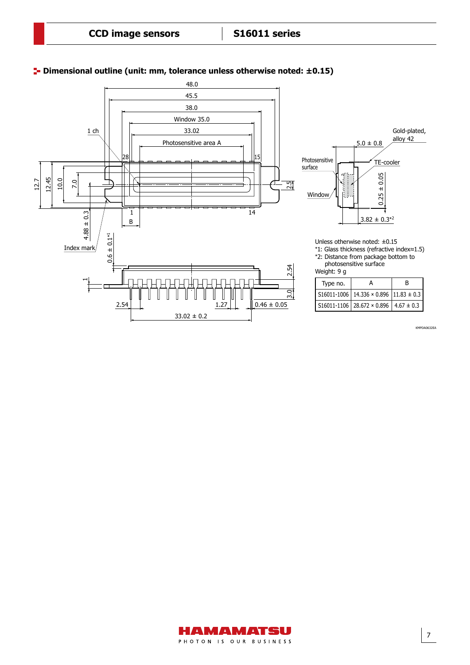

#### **Dimensional outline (unit: mm, tolerance unless otherwise noted: ±0.15)** Dimensional outline (unit: mm)

KMPDA0632EA

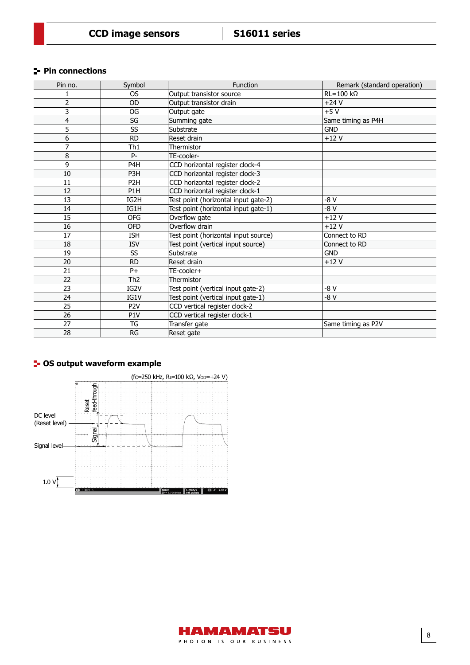#### **Pin connections**

| Pin no. | Symbol           | Function                             | Remark (standard operation) |
|---------|------------------|--------------------------------------|-----------------------------|
|         | <b>OS</b>        | Output transistor source             | $RL = 100 k\Omega$          |
| 2       | <b>OD</b>        | Output transistor drain              | $+24V$                      |
| 3       | OG               | Output gate                          | $+5V$                       |
| 4       | SG               | Summing gate                         | Same timing as P4H          |
| 5       | SS               | Substrate                            | <b>GND</b>                  |
| 6       | <b>RD</b>        | Reset drain                          | $+12V$                      |
| 7       | Th <sub>1</sub>  | Thermistor                           |                             |
| 8       | P-               | TE-cooler-                           |                             |
| 9       | P <sub>4</sub> H | CCD horizontal register clock-4      |                             |
| 10      | P <sub>3</sub> H | CCD horizontal register clock-3      |                             |
| 11      | P <sub>2</sub> H | CCD horizontal register clock-2      |                             |
| 12      | P <sub>1</sub> H | CCD horizontal register clock-1      |                             |
| 13      | IG2H             | Test point (horizontal input gate-2) | $-8V$                       |
| 14      | IG1H             | Test point (horizontal input gate-1) | $-8V$                       |
| 15      | <b>OFG</b>       | Overflow gate                        | $+12V$                      |
| 16      | <b>OFD</b>       | Overflow drain                       | $+12V$                      |
| 17      | <b>ISH</b>       | Test point (horizontal input source) | Connect to RD               |
| 18      | <b>ISV</b>       | Test point (vertical input source)   | Connect to RD               |
| 19      | SS               | Substrate                            | <b>GND</b>                  |
| 20      | <b>RD</b>        | Reset drain                          | $+12V$                      |
| 21      | $P+$             | TE-cooler+                           |                             |
| 22      | Th <sub>2</sub>  | Thermistor                           |                             |
| 23      | IG2V             | Test point (vertical input gate-2)   | -8 V                        |
| 24      | IG1V             | Test point (vertical input gate-1)   | $-8V$                       |
| 25      | P <sub>2V</sub>  | CCD vertical register clock-2        |                             |
| 26      | P <sub>1</sub> V | CCD vertical register clock-1        |                             |
| 27      | TG               | Transfer gate                        | Same timing as P2V          |
| 28      | <b>RG</b>        | Reset gate                           |                             |

## **<sup>1</sup>** OS output waveform example



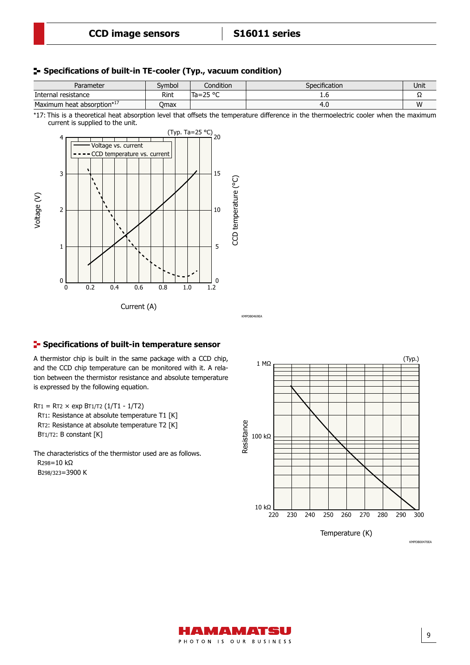Voltage/CCD temperature vs. current

#### **Specifications of built-in TE-cooler (Typ., vacuum condition)**

| Parameter                  | Svmbol | Condition          | Specification | Unit |
|----------------------------|--------|--------------------|---------------|------|
| Internal resistance        | Rint   | Ta=25 $^{\circ}$ C | ∸∙⊾           | -26  |
| Maximum heat absorption*17 | Omax   |                    | τ. υ          | W    |

\*17: This is a theoretical heat absorption level that offsets the temperature difference in the thermoelectric cooler when the maximum current is supplied to the unit.



#### **F** Specifications of built-in temperature sensor

A thermistor chip is built in the same package with a CCD chip, and the CCD chip temperature can be monitored with it. A relation between the thermistor resistance and absolute temperature is expressed by the following equation.

 $RT1 = RT2 \times exp BT1/T2 (1/T1 - 1/T2)$ RT1: Resistance at absolute temperature T1 [K]

 RT2: Resistance at absolute temperature T2 [K] BT1/T2: B constant [K]

The characteristics of the thermistor used are as follows. R298=10 kΩ B298/323=3900 K



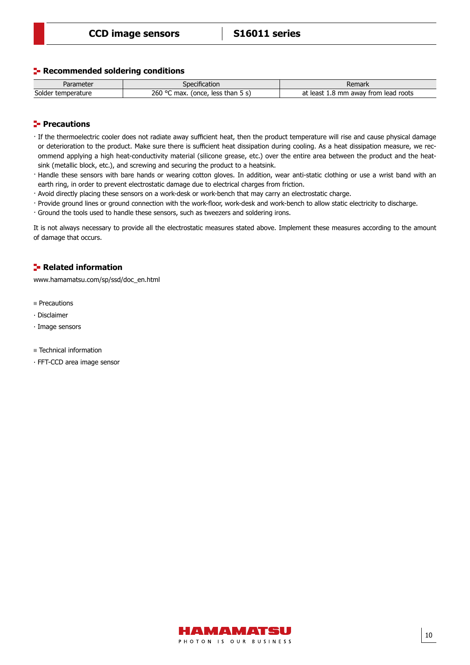#### **Recommended soldering conditions**

| Parameter          | Specification                           | Remark                                        |  |
|--------------------|-----------------------------------------|-----------------------------------------------|--|
| Solder temperature | 260 °C<br>(once, less than 5 s)<br>max. | mm away from lead roots<br>at<br>least<br>1.O |  |

#### **Precautions**

- · If the thermoelectric cooler does not radiate away sufficient heat, then the product temperature will rise and cause physical damage or deterioration to the product. Make sure there is sufficient heat dissipation during cooling. As a heat dissipation measure, we recommend applying a high heat-conductivity material (silicone grease, etc.) over the entire area between the product and the heatsink (metallic block, etc.), and screwing and securing the product to a heatsink.
- · Handle these sensors with bare hands or wearing cotton gloves. In addition, wear anti-static clothing or use a wrist band with an earth ring, in order to prevent electrostatic damage due to electrical charges from friction.
- · Avoid directly placing these sensors on a work-desk or work-bench that may carry an electrostatic charge.
- · Provide ground lines or ground connection with the work-floor, work-desk and work-bench to allow static electricity to discharge.
- · Ground the tools used to handle these sensors, such as tweezers and soldering irons.

It is not always necessary to provide all the electrostatic measures stated above. Implement these measures according to the amount of damage that occurs.

#### **F**- Related information

[www.hamamatsu.com/sp/ssd/doc\\_en.html](http://www.hamamatsu.com/sp/ssd/doc_en.html)

- **Precautions**
- ∙ Disclaimer
- ∙ Image sensors
- Technical information
- ∙ FFT-CCD area image sensor